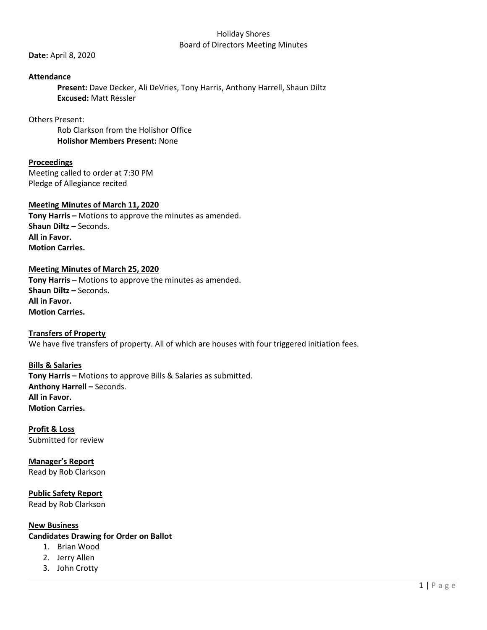#### Holiday Shores Board of Directors Meeting Minutes

**Date:** April 8, 2020

### **Attendance**

**Present:** Dave Decker, Ali DeVries, Tony Harris, Anthony Harrell, Shaun Diltz **Excused:** Matt Ressler

Others Present:

Rob Clarkson from the Holishor Office **Holishor Members Present:** None

### **Proceedings**

Meeting called to order at 7:30 PM Pledge of Allegiance recited

#### **Meeting Minutes of March 11, 2020**

**Tony Harris –** Motions to approve the minutes as amended. **Shaun Diltz –** Seconds. **All in Favor. Motion Carries.**

#### **Meeting Minutes of March 25, 2020**

**Tony Harris –** Motions to approve the minutes as amended. **Shaun Diltz –** Seconds. **All in Favor. Motion Carries.**

**Transfers of Property** We have five transfers of property. All of which are houses with four triggered initiation fees.

# **Bills & Salaries**

**Tony Harris –** Motions to approve Bills & Salaries as submitted. **Anthony Harrell –** Seconds. **All in Favor. Motion Carries.**

**Profit & Loss** Submitted for review

**Manager's Report** Read by Rob Clarkson

**Public Safety Report** Read by Rob Clarkson

## **New Business**

**Candidates Drawing for Order on Ballot**

- 1. Brian Wood
- 2. Jerry Allen
- 3. John Crotty